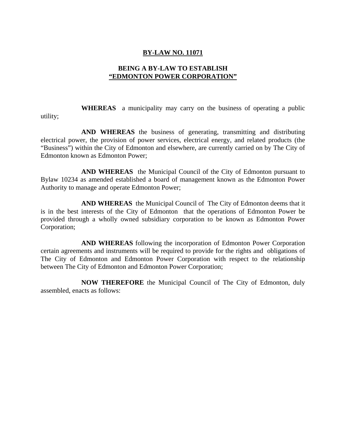## **BY-LAW NO. 11071**

## **BEING A BY-LAW TO ESTABLISH "EDMONTON POWER CORPORATION"**

 **WHEREAS** a municipality may carry on the business of operating a public utility;

 **AND WHEREAS** the business of generating, transmitting and distributing electrical power, the provision of power services, electrical energy, and related products (the "Business") within the City of Edmonton and elsewhere, are currently carried on by The City of Edmonton known as Edmonton Power;

 **AND WHEREAS** the Municipal Council of the City of Edmonton pursuant to Bylaw 10234 as amended established a board of management known as the Edmonton Power Authority to manage and operate Edmonton Power;

 **AND WHEREAS** the Municipal Council of The City of Edmonton deems that it is in the best interests of the City of Edmonton that the operations of Edmonton Power be provided through a wholly owned subsidiary corporation to be known as Edmonton Power Corporation;

 **AND WHEREAS** following the incorporation of Edmonton Power Corporation certain agreements and instruments will be required to provide for the rights and obligations of The City of Edmonton and Edmonton Power Corporation with respect to the relationship between The City of Edmonton and Edmonton Power Corporation;

 **NOW THEREFORE** the Municipal Council of The City of Edmonton, duly assembled, enacts as follows: